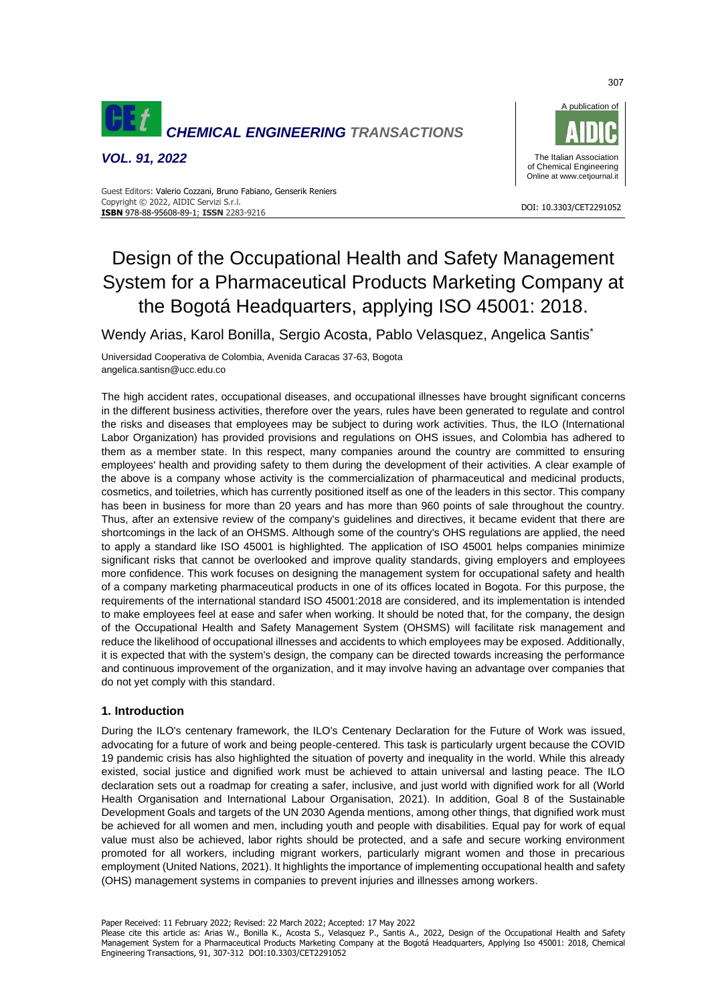

*VOL. 91, 2022*



#### DOI: 10.3303/CET2291052 **ISBN** 978-88-95608-89-1; **ISSN** 2283-9216 Guest Editors: Valerio Cozzani, Bruno Fabiano, Genserik Reniers Copyright © 2022, AIDIC Servizi S.r.l.

# Design of the Occupational Health and Safety Management System for a Pharmaceutical Products Marketing Company at the Bogotá Headquarters, applying ISO 45001: 2018.

Wendy Arias, Karol Bonilla, Sergio Acosta, Pablo Velasquez, Angelica Santis\*

Universidad Cooperativa de Colombia, Avenida Caracas 37-63, Bogota angelica.santisn@ucc.edu.co

The high accident rates, occupational diseases, and occupational illnesses have brought significant concerns in the different business activities, therefore over the years, rules have been generated to regulate and control the risks and diseases that employees may be subject to during work activities. Thus, the ILO (International Labor Organization) has provided provisions and regulations on OHS issues, and Colombia has adhered to them as a member state. In this respect, many companies around the country are committed to ensuring employees' health and providing safety to them during the development of their activities. A clear example of the above is a company whose activity is the commercialization of pharmaceutical and medicinal products, cosmetics, and toiletries, which has currently positioned itself as one of the leaders in this sector. This company has been in business for more than 20 years and has more than 960 points of sale throughout the country. Thus, after an extensive review of the company's guidelines and directives, it became evident that there are shortcomings in the lack of an OHSMS. Although some of the country's OHS regulations are applied, the need to apply a standard like ISO 45001 is highlighted. The application of ISO 45001 helps companies minimize significant risks that cannot be overlooked and improve quality standards, giving employers and employees more confidence. This work focuses on designing the management system for occupational safety and health of a company marketing pharmaceutical products in one of its offices located in Bogota. For this purpose, the requirements of the international standard ISO 45001:2018 are considered, and its implementation is intended to make employees feel at ease and safer when working. It should be noted that, for the company, the design of the Occupational Health and Safety Management System (OHSMS) will facilitate risk management and reduce the likelihood of occupational illnesses and accidents to which employees may be exposed. Additionally, it is expected that with the system's design, the company can be directed towards increasing the performance and continuous improvement of the organization, and it may involve having an advantage over companies that do not yet comply with this standard.

## **1. Introduction**

During the ILO's centenary framework, the ILO's Centenary Declaration for the Future of Work was issued, advocating for a future of work and being people-centered. This task is particularly urgent because the COVID 19 pandemic crisis has also highlighted the situation of poverty and inequality in the world. While this already existed, social justice and dignified work must be achieved to attain universal and lasting peace. The ILO declaration sets out a roadmap for creating a safer, inclusive, and just world with dignified work for all (World Health Organisation and International Labour Organisation, 2021). In addition, Goal 8 of the Sustainable Development Goals and targets of the UN 2030 Agenda mentions, among other things, that dignified work must be achieved for all women and men, including youth and people with disabilities. Equal pay for work of equal value must also be achieved, labor rights should be protected, and a safe and secure working environment promoted for all workers, including migrant workers, particularly migrant women and those in precarious employment (United Nations, 2021). It highlights the importance of implementing occupational health and safety (OHS) management systems in companies to prevent injuries and illnesses among workers.

Paper Received: 11 February 2022; Revised: 22 March 2022; Accepted: 17 May 2022

Please cite this article as: Arias W., Bonilla K., Acosta S., Velasquez P., Santis A., 2022, Design of the Occupational Health and Safety Management System for a Pharmaceutical Products Marketing Company at the Bogotá Headquarters, Applying Iso 45001: 2018, Chemical Engineering Transactions, 91, 307-312 DOI:10.3303/CET2291052

307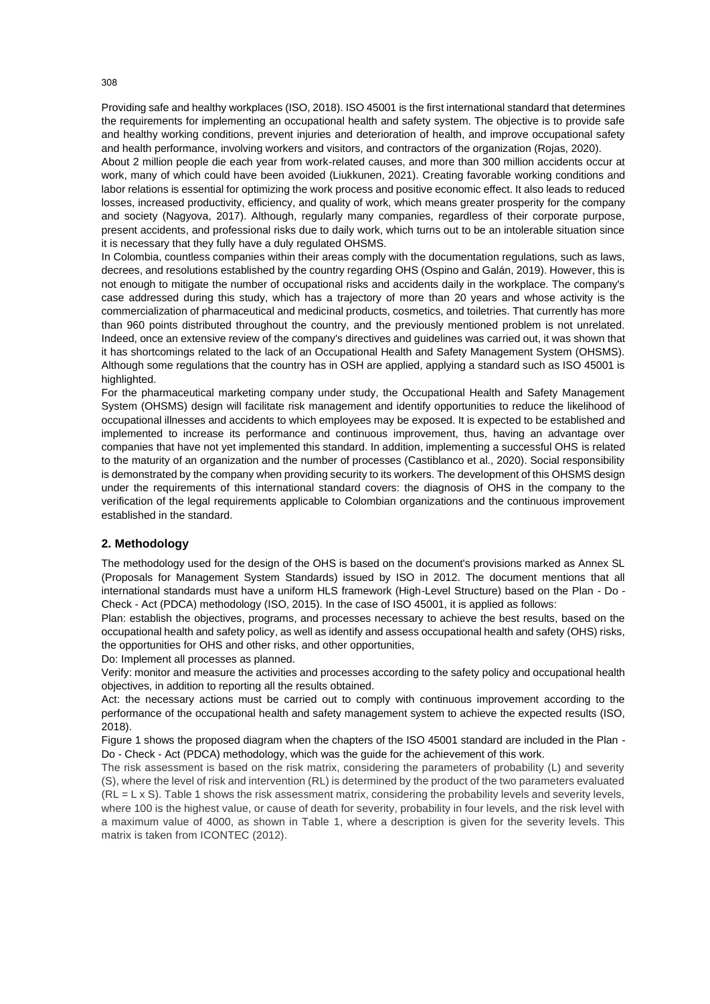Providing safe and healthy workplaces (ISO, 2018). ISO 45001 is the first international standard that determines the requirements for implementing an occupational health and safety system. The objective is to provide safe and healthy working conditions, prevent injuries and deterioration of health, and improve occupational safety and health performance, involving workers and visitors, and contractors of the organization (Rojas, 2020).

About 2 million people die each year from work-related causes, and more than 300 million accidents occur at work, many of which could have been avoided (Liukkunen, 2021). Creating favorable working conditions and labor relations is essential for optimizing the work process and positive economic effect. It also leads to reduced losses, increased productivity, efficiency, and quality of work, which means greater prosperity for the company and society (Nagyova, 2017). Although, regularly many companies, regardless of their corporate purpose, present accidents, and professional risks due to daily work, which turns out to be an intolerable situation since it is necessary that they fully have a duly regulated OHSMS.

In Colombia, countless companies within their areas comply with the documentation regulations, such as laws, decrees, and resolutions established by the country regarding OHS (Ospino and Galán, 2019). However, this is not enough to mitigate the number of occupational risks and accidents daily in the workplace. The company's case addressed during this study, which has a trajectory of more than 20 years and whose activity is the commercialization of pharmaceutical and medicinal products, cosmetics, and toiletries. That currently has more than 960 points distributed throughout the country, and the previously mentioned problem is not unrelated. Indeed, once an extensive review of the company's directives and guidelines was carried out, it was shown that it has shortcomings related to the lack of an Occupational Health and Safety Management System (OHSMS). Although some regulations that the country has in OSH are applied, applying a standard such as ISO 45001 is highlighted.

For the pharmaceutical marketing company under study, the Occupational Health and Safety Management System (OHSMS) design will facilitate risk management and identify opportunities to reduce the likelihood of occupational illnesses and accidents to which employees may be exposed. It is expected to be established and implemented to increase its performance and continuous improvement, thus, having an advantage over companies that have not yet implemented this standard. In addition, implementing a successful OHS is related to the maturity of an organization and the number of processes (Castiblanco et al., 2020). Social responsibility is demonstrated by the company when providing security to its workers. The development of this OHSMS design under the requirements of this international standard covers: the diagnosis of OHS in the company to the verification of the legal requirements applicable to Colombian organizations and the continuous improvement established in the standard.

#### **2. Methodology**

The methodology used for the design of the OHS is based on the document's provisions marked as Annex SL (Proposals for Management System Standards) issued by ISO in 2012. The document mentions that all international standards must have a uniform HLS framework (High-Level Structure) based on the Plan - Do - Check - Act (PDCA) methodology (ISO, 2015). In the case of ISO 45001, it is applied as follows:

Plan: establish the objectives, programs, and processes necessary to achieve the best results, based on the occupational health and safety policy, as well as identify and assess occupational health and safety (OHS) risks, the opportunities for OHS and other risks, and other opportunities,

Do: Implement all processes as planned.

Verify: monitor and measure the activities and processes according to the safety policy and occupational health objectives, in addition to reporting all the results obtained.

Act: the necessary actions must be carried out to comply with continuous improvement according to the performance of the occupational health and safety management system to achieve the expected results (ISO, 2018).

Figure 1 shows the proposed diagram when the chapters of the ISO 45001 standard are included in the Plan - Do - Check - Act (PDCA) methodology, which was the guide for the achievement of this work.

The risk assessment is based on the risk matrix, considering the parameters of probability (L) and severity (S), where the level of risk and intervention (RL) is determined by the product of the two parameters evaluated  $(RL = L \times S)$ . Table 1 shows the risk assessment matrix, considering the probability levels and severity levels, where 100 is the highest value, or cause of death for severity, probability in four levels, and the risk level with a maximum value of 4000, as shown in Table 1, where a description is given for the severity levels. This matrix is taken from ICONTEC (2012).

308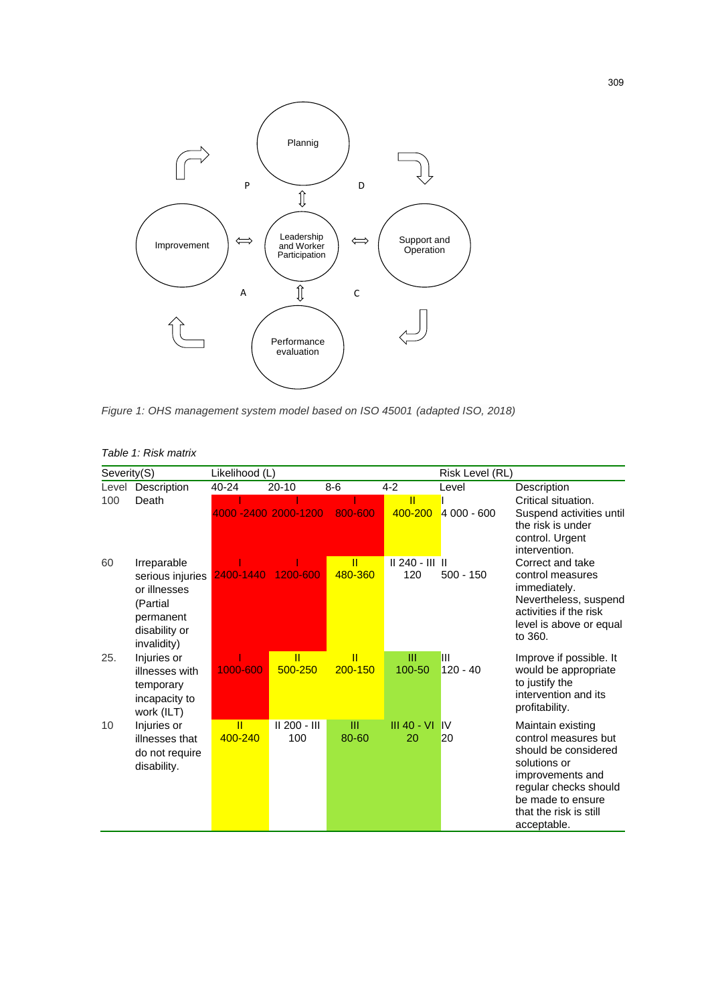

*Figure 1: OHS management system model based on ISO 45001 (adapted ISO, 2018)*

| Severity(S) |                                                                                           | Likelihood (L) |                         |            | Risk Level (RL)   |              |                                                                                                                                                                                              |
|-------------|-------------------------------------------------------------------------------------------|----------------|-------------------------|------------|-------------------|--------------|----------------------------------------------------------------------------------------------------------------------------------------------------------------------------------------------|
| Level       | Description                                                                               | 40-24          | $20 - 10$               | $8-6$      | $4 - 2$           | Level        | Description                                                                                                                                                                                  |
| 100         | Death                                                                                     |                |                         |            | π                 |              | Critical situation.                                                                                                                                                                          |
|             |                                                                                           |                | 4000 - 2400 2000 - 1200 | 800-600    | 400-200           | $4000 - 600$ | Suspend activities until<br>the risk is under<br>control. Urgent<br>intervention.                                                                                                            |
| 60          | Irreparable                                                                               |                |                         | Ш          | $  240 -       $  |              | Correct and take                                                                                                                                                                             |
|             | serious injuries<br>or illnesses<br>(Partial<br>permanent<br>disability or<br>invalidity) | 2400-1440      | 1200-600                | 480-360    | 120               | $500 - 150$  | control measures<br>immediately.<br>Nevertheless, suspend<br>activities if the risk<br>level is above or equal<br>to 360.                                                                    |
| 25.         | Injuries or                                                                               |                | ĪĪ                      | π          | Ш                 | Ш            | Improve if possible. It                                                                                                                                                                      |
|             | illnesses with<br>temporary<br>incapacity to<br>work (ILT)                                | 1000-600       | 500-250                 | 200-150    | 100-50            | $120 - 40$   | would be appropriate<br>to justify the<br>intervention and its<br>profitability.                                                                                                             |
| 10          | Injuries or<br>illnesses that<br>do not require<br>disability.                            | TI.<br>400-240 | II 200 - III<br>100     | Ш<br>80-60 | III 40 - VI<br>20 | IV<br>20     | Maintain existing<br>control measures but<br>should be considered<br>solutions or<br>improvements and<br>regular checks should<br>be made to ensure<br>that the risk is still<br>acceptable. |

## *Table 1: Risk matrix*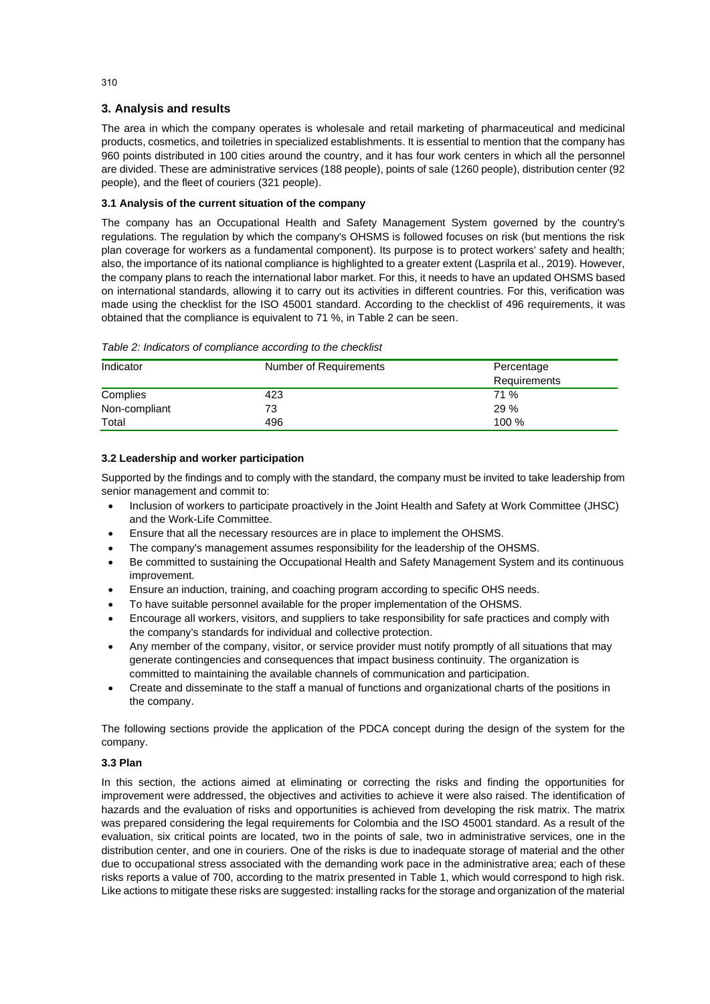## **3. Analysis and results**

The area in which the company operates is wholesale and retail marketing of pharmaceutical and medicinal products, cosmetics, and toiletries in specialized establishments. It is essential to mention that the company has 960 points distributed in 100 cities around the country, and it has four work centers in which all the personnel are divided. These are administrative services (188 people), points of sale (1260 people), distribution center (92 people), and the fleet of couriers (321 people).

## **3.1 Analysis of the current situation of the company**

The company has an Occupational Health and Safety Management System governed by the country's regulations. The regulation by which the company's OHSMS is followed focuses on risk (but mentions the risk plan coverage for workers as a fundamental component). Its purpose is to protect workers' safety and health; also, the importance of its national compliance is highlighted to a greater extent (Lasprila et al., 2019). However, the company plans to reach the international labor market. For this, it needs to have an updated OHSMS based on international standards, allowing it to carry out its activities in different countries. For this, verification was made using the checklist for the ISO 45001 standard. According to the checklist of 496 requirements, it was obtained that the compliance is equivalent to 71 %, in Table 2 can be seen.

*Table 2: Indicators of compliance according to the checklist*

| Indicator     | Number of Requirements | Percentage<br>Requirements |  |  |
|---------------|------------------------|----------------------------|--|--|
| Complies      | 423                    | 71 %                       |  |  |
| Non-compliant | 73                     | 29%                        |  |  |
| Total         | 496                    | 100 %                      |  |  |

## **3.2 Leadership and worker participation**

Supported by the findings and to comply with the standard, the company must be invited to take leadership from senior management and commit to:

- Inclusion of workers to participate proactively in the Joint Health and Safety at Work Committee (JHSC) and the Work-Life Committee.
- Ensure that all the necessary resources are in place to implement the OHSMS.
- The company's management assumes responsibility for the leadership of the OHSMS.
- Be committed to sustaining the Occupational Health and Safety Management System and its continuous improvement.
- Ensure an induction, training, and coaching program according to specific OHS needs.
- To have suitable personnel available for the proper implementation of the OHSMS.
- Encourage all workers, visitors, and suppliers to take responsibility for safe practices and comply with the company's standards for individual and collective protection.
- Any member of the company, visitor, or service provider must notify promptly of all situations that may generate contingencies and consequences that impact business continuity. The organization is committed to maintaining the available channels of communication and participation.
- Create and disseminate to the staff a manual of functions and organizational charts of the positions in the company.

The following sections provide the application of the PDCA concept during the design of the system for the company.

## **3.3 Plan**

In this section, the actions aimed at eliminating or correcting the risks and finding the opportunities for improvement were addressed, the objectives and activities to achieve it were also raised. The identification of hazards and the evaluation of risks and opportunities is achieved from developing the risk matrix. The matrix was prepared considering the legal requirements for Colombia and the ISO 45001 standard. As a result of the evaluation, six critical points are located, two in the points of sale, two in administrative services, one in the distribution center, and one in couriers. One of the risks is due to inadequate storage of material and the other due to occupational stress associated with the demanding work pace in the administrative area; each of these risks reports a value of 700, according to the matrix presented in Table 1, which would correspond to high risk. Like actions to mitigate these risks are suggested: installing racks for the storage and organization of the material

310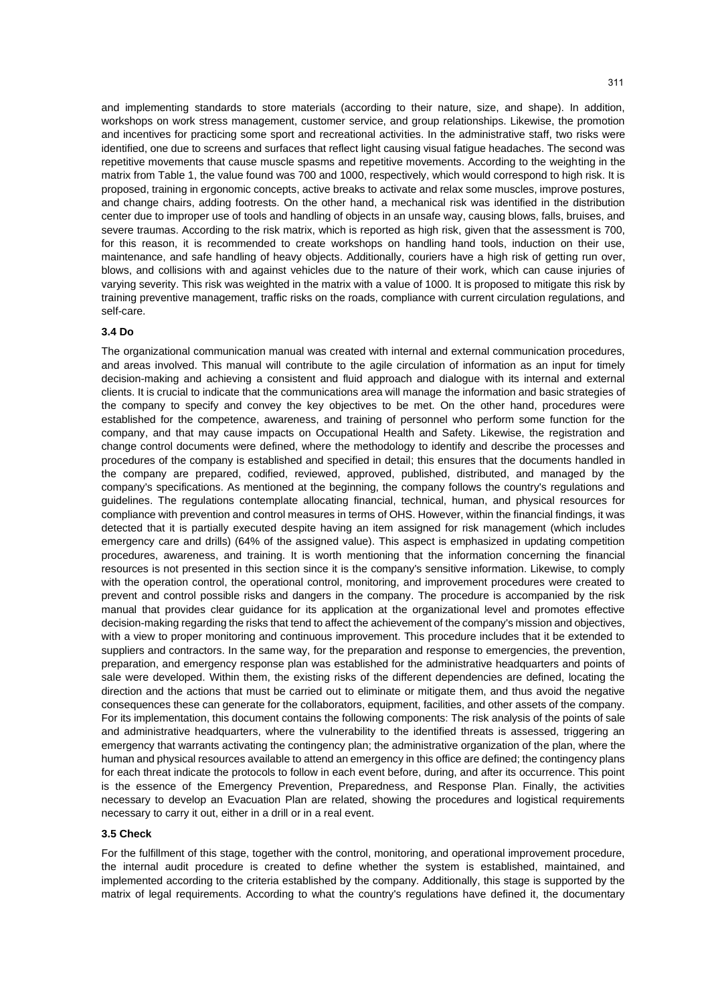and implementing standards to store materials (according to their nature, size, and shape). In addition, workshops on work stress management, customer service, and group relationships. Likewise, the promotion and incentives for practicing some sport and recreational activities. In the administrative staff, two risks were identified, one due to screens and surfaces that reflect light causing visual fatigue headaches. The second was repetitive movements that cause muscle spasms and repetitive movements. According to the weighting in the matrix from Table 1, the value found was 700 and 1000, respectively, which would correspond to high risk. It is proposed, training in ergonomic concepts, active breaks to activate and relax some muscles, improve postures, and change chairs, adding footrests. On the other hand, a mechanical risk was identified in the distribution center due to improper use of tools and handling of objects in an unsafe way, causing blows, falls, bruises, and severe traumas. According to the risk matrix, which is reported as high risk, given that the assessment is 700, for this reason, it is recommended to create workshops on handling hand tools, induction on their use, maintenance, and safe handling of heavy objects. Additionally, couriers have a high risk of getting run over, blows, and collisions with and against vehicles due to the nature of their work, which can cause injuries of varying severity. This risk was weighted in the matrix with a value of 1000. It is proposed to mitigate this risk by training preventive management, traffic risks on the roads, compliance with current circulation regulations, and self-care.

#### **3.4 Do**

The organizational communication manual was created with internal and external communication procedures, and areas involved. This manual will contribute to the agile circulation of information as an input for timely decision-making and achieving a consistent and fluid approach and dialogue with its internal and external clients. It is crucial to indicate that the communications area will manage the information and basic strategies of the company to specify and convey the key objectives to be met. On the other hand, procedures were established for the competence, awareness, and training of personnel who perform some function for the company, and that may cause impacts on Occupational Health and Safety. Likewise, the registration and change control documents were defined, where the methodology to identify and describe the processes and procedures of the company is established and specified in detail; this ensures that the documents handled in the company are prepared, codified, reviewed, approved, published, distributed, and managed by the company's specifications. As mentioned at the beginning, the company follows the country's regulations and guidelines. The regulations contemplate allocating financial, technical, human, and physical resources for compliance with prevention and control measures in terms of OHS. However, within the financial findings, it was detected that it is partially executed despite having an item assigned for risk management (which includes emergency care and drills) (64% of the assigned value). This aspect is emphasized in updating competition procedures, awareness, and training. It is worth mentioning that the information concerning the financial resources is not presented in this section since it is the company's sensitive information. Likewise, to comply with the operation control, the operational control, monitoring, and improvement procedures were created to prevent and control possible risks and dangers in the company. The procedure is accompanied by the risk manual that provides clear guidance for its application at the organizational level and promotes effective decision-making regarding the risks that tend to affect the achievement of the company's mission and objectives, with a view to proper monitoring and continuous improvement. This procedure includes that it be extended to suppliers and contractors. In the same way, for the preparation and response to emergencies, the prevention, preparation, and emergency response plan was established for the administrative headquarters and points of sale were developed. Within them, the existing risks of the different dependencies are defined, locating the direction and the actions that must be carried out to eliminate or mitigate them, and thus avoid the negative consequences these can generate for the collaborators, equipment, facilities, and other assets of the company. For its implementation, this document contains the following components: The risk analysis of the points of sale and administrative headquarters, where the vulnerability to the identified threats is assessed, triggering an emergency that warrants activating the contingency plan; the administrative organization of the plan, where the human and physical resources available to attend an emergency in this office are defined; the contingency plans for each threat indicate the protocols to follow in each event before, during, and after its occurrence. This point is the essence of the Emergency Prevention, Preparedness, and Response Plan. Finally, the activities necessary to develop an Evacuation Plan are related, showing the procedures and logistical requirements necessary to carry it out, either in a drill or in a real event.

## **3.5 Check**

For the fulfillment of this stage, together with the control, monitoring, and operational improvement procedure, the internal audit procedure is created to define whether the system is established, maintained, and implemented according to the criteria established by the company. Additionally, this stage is supported by the matrix of legal requirements. According to what the country's regulations have defined it, the documentary